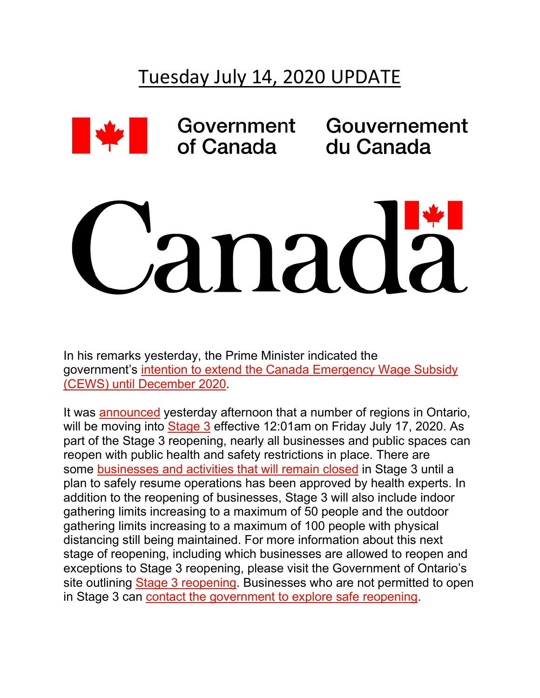## Tuesday July 14, 2020 UPDATE



Government of Canada

Gouvernement du Canada

## anad

In his remarks yesterday, the Prime Minister indicated the government's [intention to extend the Canada Emergency Wage Subsidy](http://r20.rs6.net/tn.jsp?f=001tFXMGOAkzcyItTa6Gkic0cb9uB1h4hXUf9LrkIGmuATgz_a4GyyYvyddxu2NltxbEYh9X1h9lclnzlccKF5V_yp2JNZFrz00El262k3i9Q974aJOsGKXCE1oko3qR1-o6bs0sjOQfB5MKKo12-b4YqVUtRFajcw4tjWJnvx4jglJaNWnmzTTqWhHLyYRx5MRhDHZEZZvGU2Veoz_ItEu88z9i8pxP4bn&c=hfnWhio0HDhalitqzDEAtHWaxkMvUu4BT0n-iw55ejLzhm5H5lAwxA==&ch=62_1ixlnR8hPeq8eA3p13nd42tWeJUcIJUVRRuEd_sCzYXL6M4EeIg==)  [\(CEWS\) until December 2020.](http://r20.rs6.net/tn.jsp?f=001tFXMGOAkzcyItTa6Gkic0cb9uB1h4hXUf9LrkIGmuATgz_a4GyyYvyddxu2NltxbEYh9X1h9lclnzlccKF5V_yp2JNZFrz00El262k3i9Q974aJOsGKXCE1oko3qR1-o6bs0sjOQfB5MKKo12-b4YqVUtRFajcw4tjWJnvx4jglJaNWnmzTTqWhHLyYRx5MRhDHZEZZvGU2Veoz_ItEu88z9i8pxP4bn&c=hfnWhio0HDhalitqzDEAtHWaxkMvUu4BT0n-iw55ejLzhm5H5lAwxA==&ch=62_1ixlnR8hPeq8eA3p13nd42tWeJUcIJUVRRuEd_sCzYXL6M4EeIg==)

It was [announced](http://r20.rs6.net/tn.jsp?f=001tFXMGOAkzcyItTa6Gkic0cb9uB1h4hXUf9LrkIGmuATgz_a4GyyYvyddxu2NltxbXpFQFfboy_m6j4Kfq0VDbSXgRF1VY396reet_ZDYWu1LYY5MzBwZ-mz9LdEqYuy58g1v72KYA5gUg4lhKG98T8-XRQAil6mssIc4aUEMhE1eTMxvJt69WkeogyAuk11Rzj6WWlxONEO7hD_BVZtYYViB0bUcM5W3q04HP2i93uM1fL_4hrPb1OryrFWtFwcI0r3ghW3iVTI=&c=hfnWhio0HDhalitqzDEAtHWaxkMvUu4BT0n-iw55ejLzhm5H5lAwxA==&ch=62_1ixlnR8hPeq8eA3p13nd42tWeJUcIJUVRRuEd_sCzYXL6M4EeIg==) yesterday afternoon that a number of regions in Ontario, will be moving into [Stage 3](http://r20.rs6.net/tn.jsp?f=001tFXMGOAkzcyItTa6Gkic0cb9uB1h4hXUf9LrkIGmuATgz_a4GyyYvyddxu2NltxbwkLQnDOWBQNSh26LL6tAtPvnA1QaPT8PH44hujyHkdMk9WAc3yt2FgmBqU0uZThg4QrpY4LVRBpiyAWNAndA5XFIBuG_3fQnTMubJ_RKGUX0vdmLLRV6uIgEHuyGxUfCbCk0Bt68hK3HxaYurYjMiS3aEBRFze2-&c=hfnWhio0HDhalitqzDEAtHWaxkMvUu4BT0n-iw55ejLzhm5H5lAwxA==&ch=62_1ixlnR8hPeq8eA3p13nd42tWeJUcIJUVRRuEd_sCzYXL6M4EeIg==) effective 12:01am on Friday July 17, 2020. As part of the Stage 3 reopening, nearly all businesses and public spaces can reopen with public health and safety restrictions in place. There are some [businesses and activities that will remain closed](http://r20.rs6.net/tn.jsp?f=001tFXMGOAkzcyItTa6Gkic0cb9uB1h4hXUf9LrkIGmuATgz_a4GyyYvyddxu2Nltxb2Lt7yf9I_305FUq7AEcH-elYF-BruWVt0NjMl4wvG4RYRNpwoe1692oUNtijlHuM-2v_ID9Gi0pH9uVGZkN01pphAVLsmiAkt-Xg_wWM3ZKuxPPPSlgdbF0CAd2jZGG1RGSjPJsv_0E=&c=hfnWhio0HDhalitqzDEAtHWaxkMvUu4BT0n-iw55ejLzhm5H5lAwxA==&ch=62_1ixlnR8hPeq8eA3p13nd42tWeJUcIJUVRRuEd_sCzYXL6M4EeIg==) in Stage 3 until a plan to safely resume operations has been approved by health experts. In addition to the reopening of businesses, Stage 3 will also include indoor gathering limits increasing to a maximum of 50 people and the outdoor gathering limits increasing to a maximum of 100 people with physical distancing still being maintained. For more information about this next stage of reopening, including which businesses are allowed to reopen and exceptions to Stage 3 reopening, please visit the Government of Ontario's site outlining [Stage 3 reopening.](http://r20.rs6.net/tn.jsp?f=001tFXMGOAkzcyItTa6Gkic0cb9uB1h4hXUf9LrkIGmuATgz_a4GyyYvyddxu2NltxbpzCneSBoldswnigWh1Ubhcwc_R1SG3bcFe8dJAAbwqTZoGGwenHtKa98GdBLNSNzKmWM9gQV__mDjG8O6bJNIM5FtdQvF_50KcJeM1UCC2HPMmk8sGe642cAZ6sc9MRJJIzzxAj4sXYxhVbB4pY-DWBpYE83tqEy7BsBS2Sjt1HbWNa4RnhMCYMgRaS55h8Uvt7KcYG7ssS0GKG3b_kq1g2PEAIQBeAT&c=hfnWhio0HDhalitqzDEAtHWaxkMvUu4BT0n-iw55ejLzhm5H5lAwxA==&ch=62_1ixlnR8hPeq8eA3p13nd42tWeJUcIJUVRRuEd_sCzYXL6M4EeIg==) Businesses who are not permitted to open in Stage 3 can [contact the government to explore safe reopening.](http://r20.rs6.net/tn.jsp?f=001tFXMGOAkzcyItTa6Gkic0cb9uB1h4hXUf9LrkIGmuATgz_a4GyyYvyddxu2NltxbH17uEoz-J117zqdOrsbGmoq32XCzlk94NK9XH-Z9ee-aGtqtnyW9ZeODfR2Vw9owL7x4RkU-dRNPPsivvYuSgvVncdKKUd9uojQyI-TF7pCyoa3yfSlIl7qPqipert9W_qI5HxPxnXlo_XjQCTu9w_eYNT0A_mUV&c=hfnWhio0HDhalitqzDEAtHWaxkMvUu4BT0n-iw55ejLzhm5H5lAwxA==&ch=62_1ixlnR8hPeq8eA3p13nd42tWeJUcIJUVRRuEd_sCzYXL6M4EeIg==)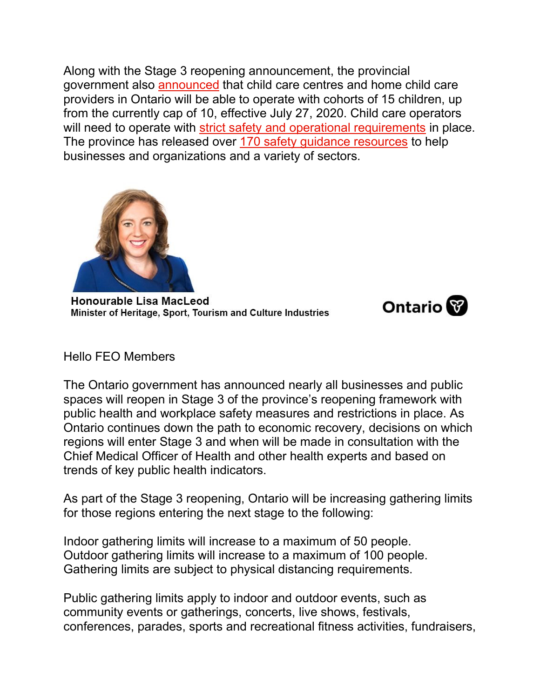Along with the Stage 3 reopening announcement, the provincial government also [announced](http://r20.rs6.net/tn.jsp?f=001tFXMGOAkzcyItTa6Gkic0cb9uB1h4hXUf9LrkIGmuATgz_a4GyyYvyddxu2NltxbXpFQFfboy_m6j4Kfq0VDbSXgRF1VY396reet_ZDYWu1LYY5MzBwZ-mz9LdEqYuy58g1v72KYA5gUg4lhKG98T8-XRQAil6mssIc4aUEMhE1eTMxvJt69WkeogyAuk11Rzj6WWlxONEO7hD_BVZtYYViB0bUcM5W3q04HP2i93uM1fL_4hrPb1OryrFWtFwcI0r3ghW3iVTI=&c=hfnWhio0HDhalitqzDEAtHWaxkMvUu4BT0n-iw55ejLzhm5H5lAwxA==&ch=62_1ixlnR8hPeq8eA3p13nd42tWeJUcIJUVRRuEd_sCzYXL6M4EeIg==) that child care centres and home child care providers in Ontario will be able to operate with cohorts of 15 children, up from the currently cap of 10, effective July 27, 2020. Child care operators will need to operate with [strict safety and operational requirements](http://r20.rs6.net/tn.jsp?f=001tFXMGOAkzcyItTa6Gkic0cb9uB1h4hXUf9LrkIGmuATgz_a4GyyYvyddxu2NltxbzvnIxeARU0mkEinPDzAUNDrQ17a4A6YGwzlmP0zBb0NxRtYEh71rL_V-xyJE9-o4ruERogiohkTcuBrgFIRowDA7V2h0vgXrOGrAXUGdNQ845Uo-a0t-PNXI3jdNReYeGdCJ7jg9EcY=&c=hfnWhio0HDhalitqzDEAtHWaxkMvUu4BT0n-iw55ejLzhm5H5lAwxA==&ch=62_1ixlnR8hPeq8eA3p13nd42tWeJUcIJUVRRuEd_sCzYXL6M4EeIg==) in place. The province has released over [170 safety guidance resources](http://r20.rs6.net/tn.jsp?f=001tFXMGOAkzcyItTa6Gkic0cb9uB1h4hXUf9LrkIGmuATgz_a4GyyYvys2njoZPhSljnE96OMPeAtDjdNLzSXchZvML6trKriMEBNJgWsJKA9KOHtsYTYxG0CGIBiC0_Mn5bVaAbNc25NDdw458RW4UFg9V3T8Z6iFNQ8GHbHCVYwYvErJtlX5DJDCPhJonYyYG9AD22h6ldU=&c=hfnWhio0HDhalitqzDEAtHWaxkMvUu4BT0n-iw55ejLzhm5H5lAwxA==&ch=62_1ixlnR8hPeq8eA3p13nd42tWeJUcIJUVRRuEd_sCzYXL6M4EeIg==) to help businesses and organizations and a variety of sectors.



Honourable Lisa MacLeod Minister of Heritage, Sport, Tourism and Culture Industries



Hello FEO Members

The Ontario government has announced nearly all businesses and public spaces will reopen in Stage 3 of the province's reopening framework with public health and workplace safety measures and restrictions in place. As Ontario continues down the path to economic recovery, decisions on which regions will enter Stage 3 and when will be made in consultation with the Chief Medical Officer of Health and other health experts and based on trends of key public health indicators.

As part of the Stage 3 reopening, Ontario will be increasing gathering limits for those regions entering the next stage to the following:

Indoor gathering limits will increase to a maximum of 50 people. Outdoor gathering limits will increase to a maximum of 100 people. Gathering limits are subject to physical distancing requirements.

Public gathering limits apply to indoor and outdoor events, such as community events or gatherings, concerts, live shows, festivals, conferences, parades, sports and recreational fitness activities, fundraisers,